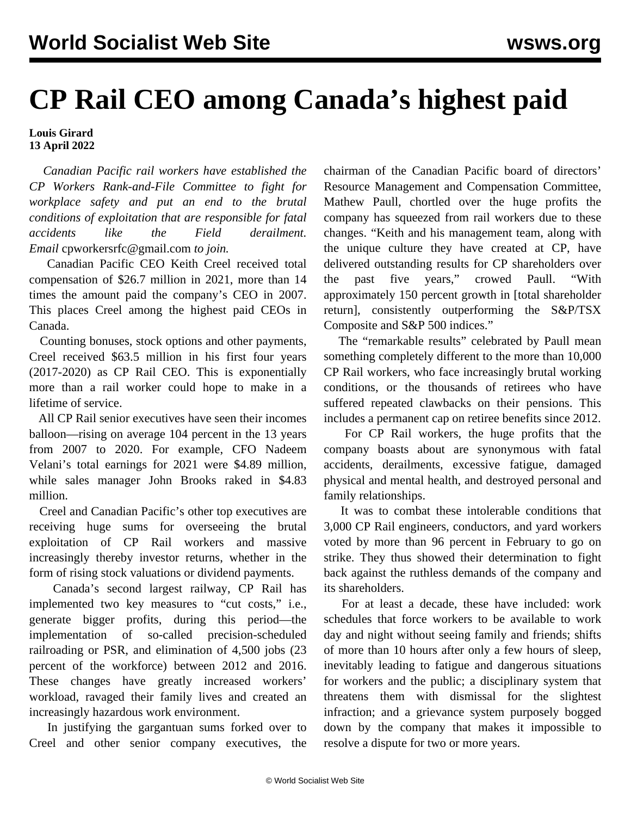## **CP Rail CEO among Canada's highest paid**

## **Louis Girard 13 April 2022**

 *Canadian Pacific rail workers have established the CP Workers Rank-and-File Committee to fight for workplace safety and put an end to the brutal conditions of exploitation that are responsible for fatal accidents like the Field derailment. Email* [cpworkersrfc@gmail.com](C:\\\\Users\\\\meado\\\\AppData\\\\Local\\\\Temp\\\\pid-9160\\\\\\) *to join.*

 Canadian Pacific CEO Keith Creel received total compensation of \$26.7 million in 2021, more than 14 times the amount paid the company's CEO in 2007. This places Creel among the highest paid CEOs in Canada.

 Counting bonuses, stock options and other payments, Creel received \$63.5 million in his first four years (2017-2020) as CP Rail CEO. This is exponentially more than a rail worker could hope to make in a lifetime of service.

 All CP Rail senior executives have seen their incomes balloon—rising on average 104 percent in the 13 years from 2007 to 2020. For example, CFO Nadeem Velani's total earnings for 2021 were \$4.89 million, while sales manager John Brooks raked in \$4.83 million.

 Creel and Canadian Pacific's other top executives are receiving huge sums for overseeing the brutal exploitation of CP Rail workers and massive increasingly thereby investor returns, whether in the form of rising stock valuations or dividend payments.

 Canada's second largest railway, CP Rail has implemented two key measures to "cut costs," i.e., generate bigger profits, during this period—the implementation of so-called precision-scheduled railroading or PSR, and elimination of 4,500 jobs (23 percent of the workforce) between 2012 and 2016. These changes have greatly increased workers' workload, ravaged their family lives and created an increasingly hazardous work environment.

 In justifying the gargantuan sums forked over to Creel and other senior company executives, the chairman of the Canadian Pacific board of directors' Resource Management and Compensation Committee, Mathew Paull, chortled over the huge profits the company has squeezed from rail workers due to these changes. "Keith and his management team, along with the unique culture they have created at CP, have delivered outstanding results for CP shareholders over the past five years," crowed Paull. "With approximately 150 percent growth in [total shareholder return], consistently outperforming the S&P/TSX Composite and S&P 500 indices."

 The "remarkable results" celebrated by Paull mean something completely different to the more than 10,000 CP Rail workers, who face increasingly brutal working conditions, or the thousands of retirees who have suffered repeated clawbacks on their pensions. This includes a permanent cap on retiree benefits since 2012.

 For CP Rail workers, the huge profits that the company boasts about are synonymous with fatal accidents, derailments, excessive fatigue, damaged physical and mental health, and destroyed personal and family relationships.

 It was to combat these intolerable conditions that 3,000 CP Rail engineers, conductors, and yard workers voted by more than 96 percent in February to go on strike. They thus showed their determination to fight back against the ruthless demands of the company and its shareholders.

 For at least a decade, these have included: work schedules that force workers to be available to work day and night without seeing family and friends; shifts of more than 10 hours after only a few hours of sleep, inevitably leading to fatigue and dangerous situations for workers and the public; a disciplinary system that threatens them with dismissal for the slightest infraction; and a grievance system purposely bogged down by the company that makes it impossible to resolve a dispute for two or more years.